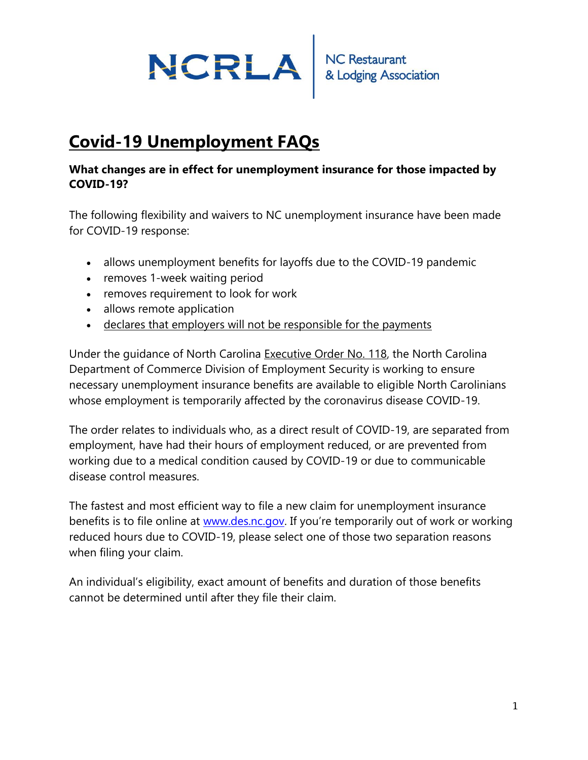

# **Covid-19 Unemployment FAQs**

#### **What changes are in effect for unemployment insurance for those impacted by COVID-19?**

The following flexibility and waivers to NC unemployment insurance have been made for COVID-19 response:

- allows unemployment benefits for layoffs due to the COVID-19 pandemic
- removes 1-week waiting period
- removes requirement to look for work
- allows remote application
- declares that employers will not be responsible for the payments

Under the guidance of North Carolina [Executive Order No. 118,](https://files.nc.gov/governor/documents/files/EO118.pdf) the North Carolina Department of Commerce Division of Employment Security is working to ensure necessary unemployment insurance benefits are available to eligible North Carolinians whose employment is temporarily affected by the coronavirus disease COVID-19.

The order relates to individuals who, as a direct result of COVID-19, are separated from employment, have had their hours of employment reduced, or are prevented from working due to a medical condition caused by COVID-19 or due to communicable disease control measures.

The fastest and most efficient way to file a new claim for unemployment insurance benefits is to file online at [www.des.nc.gov.](http://www.des.nc.gov/) If you're temporarily out of work or working reduced hours due to COVID-19, please select one of those two separation reasons when filing your claim.

An individual's eligibility, exact amount of benefits and duration of those benefits cannot be determined until after they file their claim.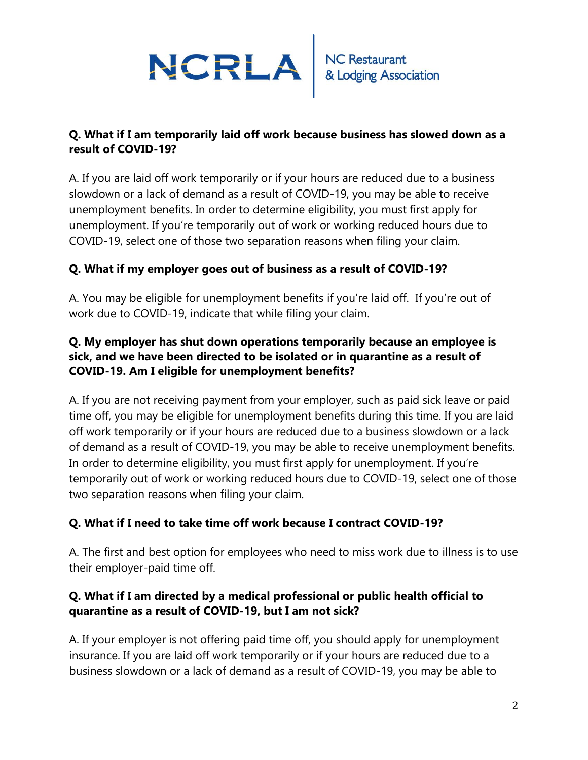

#### **Q. What if I am temporarily laid off work because business has slowed down as a result of COVID-19?**

A. If you are laid off work temporarily or if your hours are reduced due to a business slowdown or a lack of demand as a result of COVID-19, you may be able to receive unemployment benefits. In order to determine eligibility, you must first apply for unemployment. If you're temporarily out of work or working reduced hours due to COVID-19, select one of those two separation reasons when filing your claim.

#### **Q. What if my employer goes out of business as a result of COVID-19?**

A. You may be eligible for unemployment benefits if you're laid off. If you're out of work due to COVID-19, indicate that while filing your claim.

#### **Q. My employer has shut down operations temporarily because an employee is sick, and we have been directed to be isolated or in quarantine as a result of COVID-19. Am I eligible for unemployment benefits?**

A. If you are not receiving payment from your employer, such as paid sick leave or paid time off, you may be eligible for unemployment benefits during this time. If you are laid off work temporarily or if your hours are reduced due to a business slowdown or a lack of demand as a result of COVID-19, you may be able to receive unemployment benefits. In order to determine eligibility, you must first apply for unemployment. If you're temporarily out of work or working reduced hours due to COVID-19, select one of those two separation reasons when filing your claim.

#### **Q. What if I need to take time off work because I contract COVID-19?**

A. The first and best option for employees who need to miss work due to illness is to use their employer-paid time off.

#### **Q. What if I am directed by a medical professional or public health official to quarantine as a result of COVID-19, but I am not sick?**

A. If your employer is not offering paid time off, you should apply for unemployment insurance. If you are laid off work temporarily or if your hours are reduced due to a business slowdown or a lack of demand as a result of COVID-19, you may be able to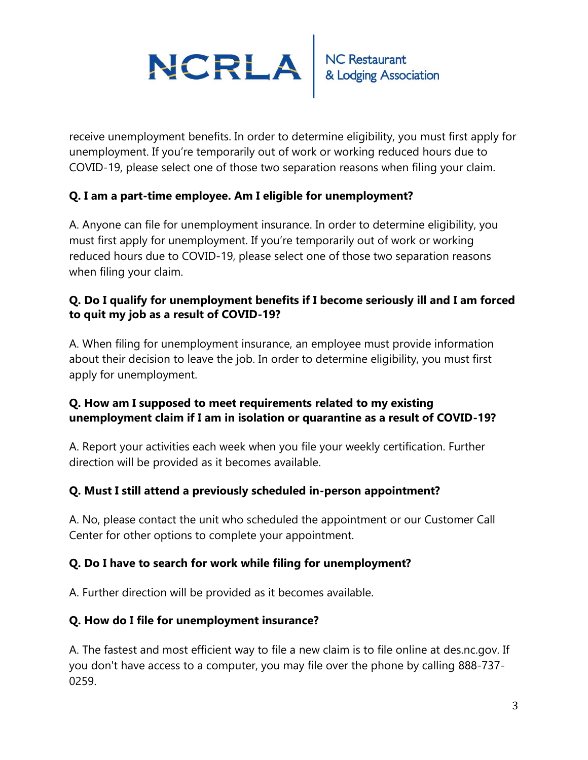

receive unemployment benefits. In order to determine eligibility, you must first apply for unemployment. If you're temporarily out of work or working reduced hours due to COVID-19, please select one of those two separation reasons when filing your claim.

#### **Q. I am a part-time employee. Am I eligible for unemployment?**

A. Anyone can file for unemployment insurance. In order to determine eligibility, you must first apply for unemployment. If you're temporarily out of work or working reduced hours due to COVID-19, please select one of those two separation reasons when filing your claim.

#### **Q. Do I qualify for unemployment benefits if I become seriously ill and I am forced to quit my job as a result of COVID-19?**

A. When filing for unemployment insurance, an employee must provide information about their decision to leave the job. In order to determine eligibility, you must first apply for unemployment.

#### **Q. How am I supposed to meet requirements related to my existing unemployment claim if I am in isolation or quarantine as a result of COVID-19?**

A. Report your activities each week when you file your weekly certification. Further direction will be provided as it becomes available.

#### **Q. Must I still attend a previously scheduled in-person appointment?**

A. No, please contact the unit who scheduled the appointment or our Customer Call Center for other options to complete your appointment.

#### **Q. Do I have to search for work while filing for unemployment?**

A. Further direction will be provided as it becomes available.

#### **Q. How do I file for unemployment insurance?**

A. The fastest and most efficient way to file a new claim is to file online at des.nc.gov. If you don't have access to a computer, you may file over the phone by calling 888-737- 0259.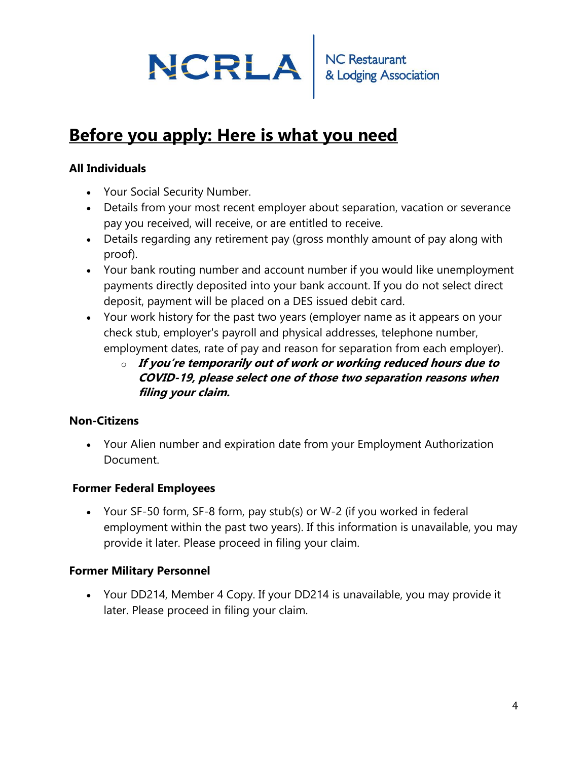# NCRLA RESERVED

## **Before you apply: Here is what you need**

## **All Individuals**

- Your Social Security Number.
- Details from your most recent employer about separation, vacation or severance pay you received, will receive, or are entitled to receive.
- Details regarding any retirement pay (gross monthly amount of pay along with proof).
- Your bank routing number and account number if you would like unemployment payments directly deposited into your bank account. If you do not select direct deposit, payment will be placed on a DES issued debit card.
- Your work history for the past two years (employer name as it appears on your check stub, employer's payroll and physical addresses, telephone number, employment dates, rate of pay and reason for separation from each employer).
	- o **If you're temporarily out of work or working reduced hours due to COVID-19, please select one of those two separation reasons when filing your claim.**

#### **Non-Citizens**

• Your Alien number and expiration date from your Employment Authorization Document.

## **Former Federal Employees**

• Your SF-50 form, SF-8 form, pay stub(s) or W-2 (if you worked in federal employment within the past two years). If this information is unavailable, you may provide it later. Please proceed in filing your claim.

#### **Former Military Personnel**

• Your DD214, Member 4 Copy. If your DD214 is unavailable, you may provide it later. Please proceed in filing your claim.